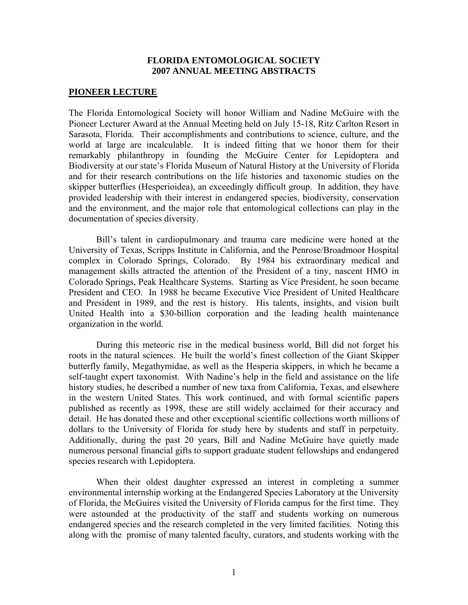### **FLORIDA ENTOMOLOGICAL SOCIETY 2007 ANNUAL MEETING ABSTRACTS**

#### **PIONEER LECTURE**

The Florida Entomological Society will honor William and Nadine McGuire with the Pioneer Lecturer Award at the Annual Meeting held on July 15-18, Ritz Carlton Resort in Sarasota, Florida. Their accomplishments and contributions to science, culture, and the world at large are incalculable. It is indeed fitting that we honor them for their remarkably philanthropy in founding the McGuire Center for Lepidoptera and Biodiversity at our state's Florida Museum of Natural History at the University of Florida and for their research contributions on the life histories and taxonomic studies on the skipper butterflies (Hesperioidea), an exceedingly difficult group. In addition, they have provided leadership with their interest in endangered species, biodiversity, conservation and the environment, and the major role that entomological collections can play in the documentation of species diversity.

 Bill's talent in cardiopulmonary and trauma care medicine were honed at the University of Texas, Scripps Institute in California, and the Penrose/Broadmoor Hospital complex in Colorado Springs, Colorado. By 1984 his extraordinary medical and management skills attracted the attention of the President of a tiny, nascent HMO in Colorado Springs, Peak Healthcare Systems. Starting as Vice President, he soon became President and CEO. In 1988 he became Executive Vice President of United Healthcare and President in 1989, and the rest is history. His talents, insights, and vision built United Health into a \$30-billion corporation and the leading health maintenance organization in the world.

 During this meteoric rise in the medical business world, Bill did not forget his roots in the natural sciences. He built the world's finest collection of the Giant Skipper butterfly family, Megathymidae, as well as the Hesperia skippers, in which he became a self-taught expert taxonomist. With Nadine's help in the field and assistance on the life history studies, he described a number of new taxa from California, Texas, and elsewhere in the western United States. This work continued, and with formal scientific papers published as recently as 1998, these are still widely acclaimed for their accuracy and detail. He has donated these and other exceptional scientific collections worth millions of dollars to the University of Florida for study here by students and staff in perpetuity. Additionally, during the past 20 years, Bill and Nadine McGuire have quietly made numerous personal financial gifts to support graduate student fellowships and endangered species research with Lepidoptera.

 When their oldest daughter expressed an interest in completing a summer environmental internship working at the Endangered Species Laboratory at the University of Florida, the McGuires visited the University of Florida campus for the first time. They were astounded at the productivity of the staff and students working on numerous endangered species and the research completed in the very limited facilities. Noting this along with the promise of many talented faculty, curators, and students working with the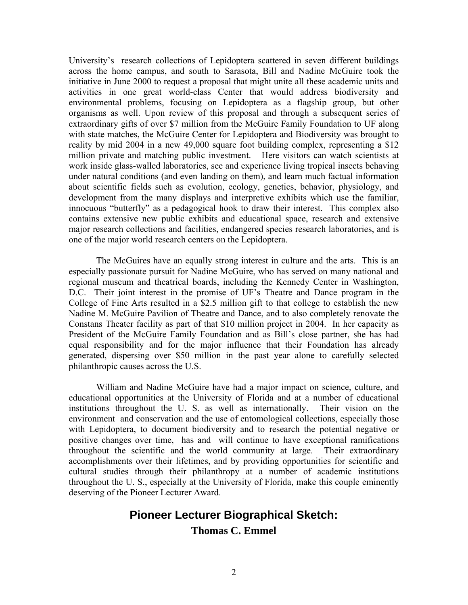University's research collections of Lepidoptera scattered in seven different buildings across the home campus, and south to Sarasota, Bill and Nadine McGuire took the initiative in June 2000 to request a proposal that might unite all these academic units and activities in one great world-class Center that would address biodiversity and environmental problems, focusing on Lepidoptera as a flagship group, but other organisms as well. Upon review of this proposal and through a subsequent series of extraordinary gifts of over \$7 million from the McGuire Family Foundation to UF along with state matches, the McGuire Center for Lepidoptera and Biodiversity was brought to reality by mid 2004 in a new 49,000 square foot building complex, representing a \$12 million private and matching public investment. Here visitors can watch scientists at work inside glass-walled laboratories, see and experience living tropical insects behaving under natural conditions (and even landing on them), and learn much factual information about scientific fields such as evolution, ecology, genetics, behavior, physiology, and development from the many displays and interpretive exhibits which use the familiar, innocuous "butterfly" as a pedagogical hook to draw their interest. This complex also contains extensive new public exhibits and educational space, research and extensive major research collections and facilities, endangered species research laboratories, and is one of the major world research centers on the Lepidoptera.

 The McGuires have an equally strong interest in culture and the arts. This is an especially passionate pursuit for Nadine McGuire, who has served on many national and regional museum and theatrical boards, including the Kennedy Center in Washington, D.C. Their joint interest in the promise of UF's Theatre and Dance program in the College of Fine Arts resulted in a \$2.5 million gift to that college to establish the new Nadine M. McGuire Pavilion of Theatre and Dance, and to also completely renovate the Constans Theater facility as part of that \$10 million project in 2004. In her capacity as President of the McGuire Family Foundation and as Bill's close partner, she has had equal responsibility and for the major influence that their Foundation has already generated, dispersing over \$50 million in the past year alone to carefully selected philanthropic causes across the U.S.

 William and Nadine McGuire have had a major impact on science, culture, and educational opportunities at the University of Florida and at a number of educational institutions throughout the U. S. as well as internationally. Their vision on the environment and conservation and the use of entomological collections, especially those with Lepidoptera, to document biodiversity and to research the potential negative or positive changes over time, has and will continue to have exceptional ramifications throughout the scientific and the world community at large. Their extraordinary accomplishments over their lifetimes, and by providing opportunities for scientific and cultural studies through their philanthropy at a number of academic institutions throughout the U. S., especially at the University of Florida, make this couple eminently deserving of the Pioneer Lecturer Award.

# **Pioneer Lecturer Biographical Sketch:**

**Thomas C. Emmel**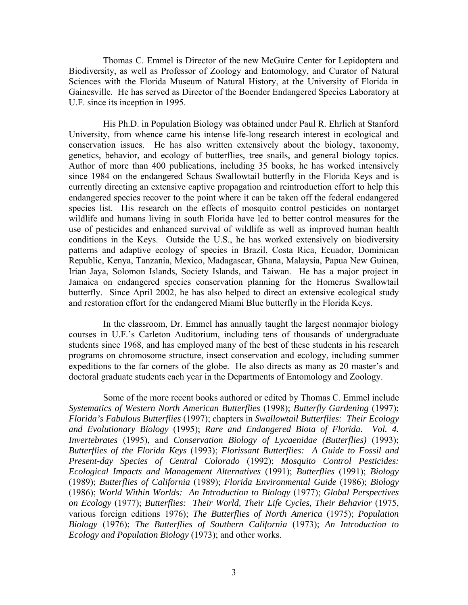Thomas C. Emmel is Director of the new McGuire Center for Lepidoptera and Biodiversity, as well as Professor of Zoology and Entomology, and Curator of Natural Sciences with the Florida Museum of Natural History, at the University of Florida in Gainesville. He has served as Director of the Boender Endangered Species Laboratory at U.F. since its inception in 1995.

 His Ph.D. in Population Biology was obtained under Paul R. Ehrlich at Stanford University, from whence came his intense life-long research interest in ecological and conservation issues. He has also written extensively about the biology, taxonomy, genetics, behavior, and ecology of butterflies, tree snails, and general biology topics. Author of more than 400 publications, including 35 books, he has worked intensively since 1984 on the endangered Schaus Swallowtail butterfly in the Florida Keys and is currently directing an extensive captive propagation and reintroduction effort to help this endangered species recover to the point where it can be taken off the federal endangered species list. His research on the effects of mosquito control pesticides on nontarget wildlife and humans living in south Florida have led to better control measures for the use of pesticides and enhanced survival of wildlife as well as improved human health conditions in the Keys. Outside the U.S., he has worked extensively on biodiversity patterns and adaptive ecology of species in Brazil, Costa Rica, Ecuador, Dominican Republic, Kenya, Tanzania, Mexico, Madagascar, Ghana, Malaysia, Papua New Guinea, Irian Jaya, Solomon Islands, Society Islands, and Taiwan. He has a major project in Jamaica on endangered species conservation planning for the Homerus Swallowtail butterfly. Since April 2002, he has also helped to direct an extensive ecological study and restoration effort for the endangered Miami Blue butterfly in the Florida Keys.

 In the classroom, Dr. Emmel has annually taught the largest nonmajor biology courses in U.F.'s Carleton Auditorium, including tens of thousands of undergraduate students since 1968, and has employed many of the best of these students in his research programs on chromosome structure, insect conservation and ecology, including summer expeditions to the far corners of the globe. He also directs as many as 20 master's and doctoral graduate students each year in the Departments of Entomology and Zoology.

 Some of the more recent books authored or edited by Thomas C. Emmel include *Systematics of Western North American Butterflies* (1998); *Butterfly Gardening* (1997); *Florida's Fabulous Butterflies* (1997); chapters in *Swallowtail Butterflies: Their Ecology and Evolutionary Biology* (1995); *Rare and Endangered Biota of Florida*. *Vol. 4. Invertebrates* (1995), and *Conservation Biology of Lycaenidae (Butterflies)* (1993); *Butterflies of the Florida Keys* (1993); *Florissant Butterflies: A Guide to Fossil and Present-day Species of Central Colorado* (1992); *Mosquito Control Pesticides: Ecological Impacts and Management Alternatives* (1991); *Butterflies* (1991); *Biology*  (1989); *Butterflies of California* (1989); *Florida Environmental Guide* (1986); *Biology* (1986); *World Within Worlds: An Introduction to Biology* (1977); *Global Perspectives on Ecology* (1977); *Butterflies: Their World, Their Life Cycles, Their Behavior* (1975, various foreign editions 1976); *The Butterflies of North America* (1975); *Population Biology* (1976); *The Butterflies of Southern California* (1973); *An Introduction to Ecology and Population Biology* (1973); and other works.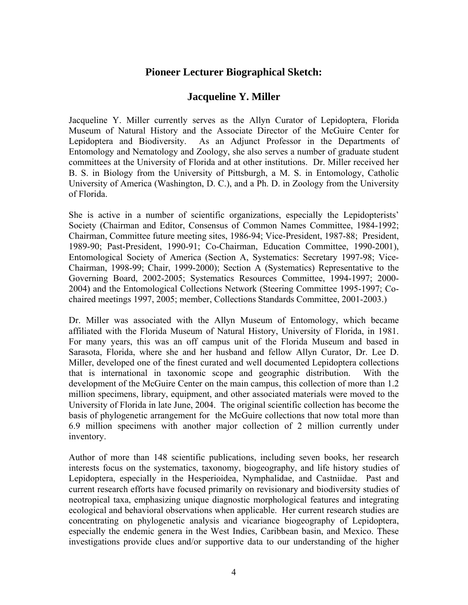# **Pioneer Lecturer Biographical Sketch:**

# **Jacqueline Y. Miller**

Jacqueline Y. Miller currently serves as the Allyn Curator of Lepidoptera, Florida Museum of Natural History and the Associate Director of the McGuire Center for Lepidoptera and Biodiversity. As an Adjunct Professor in the Departments of Entomology and Nematology and Zoology, she also serves a number of graduate student committees at the University of Florida and at other institutions. Dr. Miller received her B. S. in Biology from the University of Pittsburgh, a M. S. in Entomology, Catholic University of America (Washington, D. C.), and a Ph. D. in Zoology from the University of Florida.

She is active in a number of scientific organizations, especially the Lepidopterists' Society (Chairman and Editor, Consensus of Common Names Committee, 1984-1992; Chairman, Committee future meeting sites, 1986-94; Vice-President, 1987-88; President, 1989-90; Past-President, 1990-91; Co-Chairman, Education Committee, 1990-2001), Entomological Society of America (Section A, Systematics: Secretary 1997-98; Vice-Chairman, 1998-99; Chair, 1999-2000); Section A (Systematics) Representative to the Governing Board, 2002-2005; Systematics Resources Committee, 1994-1997; 2000- 2004) and the Entomological Collections Network (Steering Committee 1995-1997; Cochaired meetings 1997, 2005; member, Collections Standards Committee, 2001-2003.)

Dr. Miller was associated with the Allyn Museum of Entomology, which became affiliated with the Florida Museum of Natural History, University of Florida, in 1981. For many years, this was an off campus unit of the Florida Museum and based in Sarasota, Florida, where she and her husband and fellow Allyn Curator, Dr. Lee D. Miller, developed one of the finest curated and well documented Lepidoptera collections that is international in taxonomic scope and geographic distribution. With the development of the McGuire Center on the main campus, this collection of more than 1.2 million specimens, library, equipment, and other associated materials were moved to the University of Florida in late June, 2004. The original scientific collection has become the basis of phylogenetic arrangement for the McGuire collections that now total more than 6.9 million specimens with another major collection of 2 million currently under inventory.

Author of more than 148 scientific publications, including seven books, her research interests focus on the systematics, taxonomy, biogeography, and life history studies of Lepidoptera, especially in the Hesperioidea, Nymphalidae, and Castniidae. Past and current research efforts have focused primarily on revisionary and biodiversity studies of neotropical taxa, emphasizing unique diagnostic morphological features and integrating ecological and behavioral observations when applicable. Her current research studies are concentrating on phylogenetic analysis and vicariance biogeography of Lepidoptera, especially the endemic genera in the West Indies, Caribbean basin, and Mexico. These investigations provide clues and/or supportive data to our understanding of the higher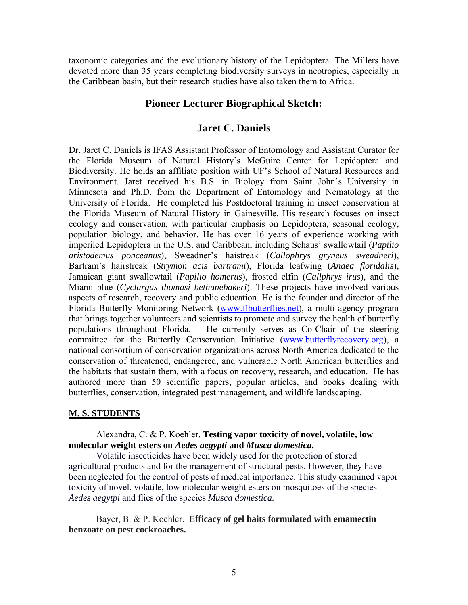taxonomic categories and the evolutionary history of the Lepidoptera. The Millers have devoted more than 35 years completing biodiversity surveys in neotropics, especially in the Caribbean basin, but their research studies have also taken them to Africa.

# **Pioneer Lecturer Biographical Sketch:**

# **Jaret C. Daniels**

Dr. Jaret C. Daniels is IFAS Assistant Professor of Entomology and Assistant Curator for the Florida Museum of Natural History's McGuire Center for Lepidoptera and Biodiversity. He holds an affiliate position with UF's School of Natural Resources and Environment. Jaret received his B.S. in Biology from Saint John's University in Minnesota and Ph.D. from the Department of Entomology and Nematology at the University of Florida. He completed his Postdoctoral training in insect conservation at the Florida Museum of Natural History in Gainesville. His research focuses on insect ecology and conservation, with particular emphasis on Lepidoptera, seasonal ecology, population biology, and behavior. He has over 16 years of experience working with imperiled Lepidoptera in the U.S. and Caribbean, including Schaus' swallowtail (*Papilio aristodemus ponceanus*), Sweadner's haistreak (*Callophrys gryneus sweadneri*), Bartram's hairstreak (*Strymon acis bartrami*), Florida leafwing (*Anaea floridalis*), Jamaican giant swallowtail (*Papilio homerus*), frosted elfin (*Callphrys irus*), and the Miami blue (*Cyclargus thomasi bethunebakeri*). These projects have involved various aspects of research, recovery and public education. He is the founder and director of the Florida Butterfly Monitoring Network [\(www.flbutterflies.net\)](http://www.flbutterflies.net/), a multi-agency program that brings together volunteers and scientists to promote and survey the health of butterfly populations throughout Florida. He currently serves as Co-Chair of the steering committee for the Butterfly Conservation Initiative ([www.butterflyrecovery.org\)](http://www.butterflyrecovery.org/), a national consortium of conservation organizations across North America dedicated to the conservation of threatened, endangered, and vulnerable North American butterflies and the habitats that sustain them, with a focus on recovery, research, and education. He has authored more than 50 scientific papers, popular articles, and books dealing with butterflies, conservation, integrated pest management, and wildlife landscaping.

# **M. S. STUDENTS**

# Alexandra, C. & P. Koehler. **Testing vapor toxicity of novel, volatile, low molecular weight esters on** *Aedes aegypti* **and** *Musca domestica***.**

Volatile insecticides have been widely used for the protection of stored agricultural products and for the management of structural pests. However, they have been neglected for the control of pests of medical importance. This study examined vapor toxicity of novel, volatile, low molecular weight esters on mosquitoes of the species *Aedes aegytpi* and flies of the species *Musca domestica.*

Bayer, B. & P. Koehler. **Efficacy of gel baits formulated with emamectin benzoate on pest cockroaches.**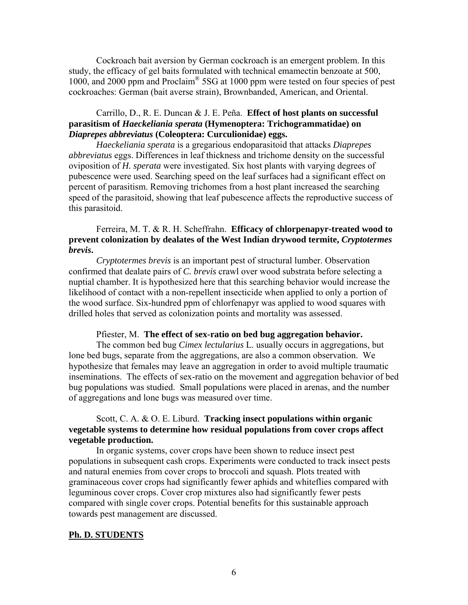Cockroach bait aversion by German cockroach is an emergent problem. In this study, the efficacy of gel baits formulated with technical emamectin benzoate at 500, 1000, and 2000 ppm and Proclaim® 5SG at 1000 ppm were tested on four species of pest cockroaches: German (bait averse strain), Brownbanded, American, and Oriental.

# Carrillo, D., R. E. Duncan & J. E. Peña. **Effect of host plants on successful parasitism of** *Haeckeliania sperata* **(Hymenoptera: Trichogrammatidae) on**  *Diaprepes abbreviatus* **(Coleoptera: Curculionidae) eggs.**

*Haeckeliania sperata* is a gregarious endoparasitoid that attacks *Diaprepes abbreviatus* eggs. Differences in leaf thickness and trichome density on the successful oviposition of *H. sperata* were investigated. Six host plants with varying degrees of pubescence were used. Searching speed on the leaf surfaces had a significant effect on percent of parasitism. Removing trichomes from a host plant increased the searching speed of the parasitoid, showing that leaf pubescence affects the reproductive success of this parasitoid.

# Ferreira, M. T. & R. H. Scheffrahn. **Efficacy of chlorpenapyr-treated wood to prevent colonization by dealates of the West Indian drywood termite,** *Cryptotermes brevis***.**

*Cryptotermes brevis* is an important pest of structural lumber. Observation confirmed that dealate pairs of *C. brevis* crawl over wood substrata before selecting a nuptial chamber. It is hypothesized here that this searching behavior would increase the likelihood of contact with a non-repellent insecticide when applied to only a portion of the wood surface. Six-hundred ppm of chlorfenapyr was applied to wood squares with drilled holes that served as colonization points and mortality was assessed.

#### Pfiester, M. **The effect of sex-ratio on bed bug aggregation behavior.**

The common bed bug *Cimex lectularius* L. usually occurs in aggregations, but lone bed bugs, separate from the aggregations, are also a common observation. We hypothesize that females may leave an aggregation in order to avoid multiple traumatic inseminations. The effects of sex-ratio on the movement and aggregation behavior of bed bug populations was studied. Small populations were placed in arenas, and the number of aggregations and lone bugs was measured over time.

# Scott, C. A. & O. E. Liburd. **Tracking insect populations within organic vegetable systems to determine how residual populations from cover crops affect vegetable production.**

In organic systems, cover crops have been shown to reduce insect pest populations in subsequent cash crops. Experiments were conducted to track insect pests and natural enemies from cover crops to broccoli and squash. Plots treated with graminaceous cover crops had significantly fewer aphids and whiteflies compared with leguminous cover crops. Cover crop mixtures also had significantly fewer pests compared with single cover crops. Potential benefits for this sustainable approach towards pest management are discussed.

#### **Ph. D. STUDENTS**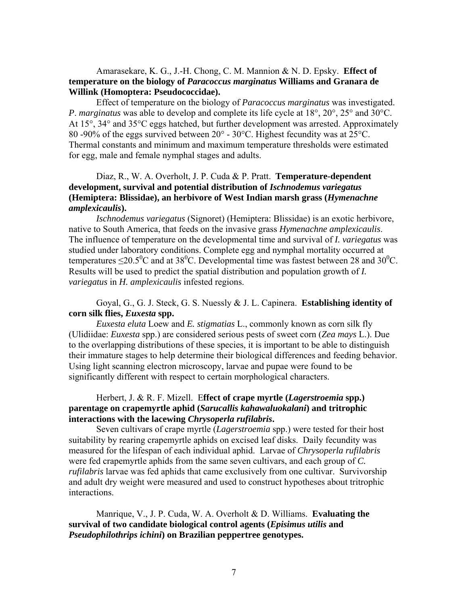## Amarasekare, K. G., J.-H. Chong, C. M. Mannion & N. D. Epsky. **Effect of temperature on the biology of** *Paracoccus marginatus* **Williams and Granara de Willink (Homoptera: Pseudococcidae).**

 Effect of temperature on the biology of *Paracoccus marginatus* was investigated. *P*. *marginatus* was able to develop and complete its life cycle at 18°, 20°, 25° and 30°C. At 15°, 34° and 35°C eggs hatched, but further development was arrested. Approximately 80 -90% of the eggs survived between 20° - 30°C. Highest fecundity was at 25°C. Thermal constants and minimum and maximum temperature thresholds were estimated for egg, male and female nymphal stages and adults.

# Diaz, R., W. A. Overholt, J. P. Cuda & P. Pratt. **Temperature-dependent development, survival and potential distribution of** *Ischnodemus variegatus* **(Hemiptera: Blissidae), an herbivore of West Indian marsh grass (***Hymenachne amplexicaulis***).**

*Ischnodemus variegatus* (Signoret) (Hemiptera: Blissidae) is an exotic herbivore, native to South America, that feeds on the invasive grass *Hymenachne amplexicaulis*. The influence of temperature on the developmental time and survival of *I. variegatus* was studied under laboratory conditions. Complete egg and nymphal mortality occurred at temperatures  $\leq$ 20.5<sup>o</sup>C and at 38<sup>o</sup>C. Developmental time was fastest between 28 and 30<sup>o</sup>C. Results will be used to predict the spatial distribution and population growth of *I. variegatus* in *H. amplexicaulis* infested regions.

## Goyal, G., G. J. Steck, G. S. Nuessly & J. L. Capinera. **Establishing identity of corn silk flies,** *Euxesta* **spp.**

*Euxesta eluta* Loew and *E. stigmatias* L., commonly known as corn silk fly (Ulidiidae: *Euxesta* spp.) are considered serious pests of sweet corn (*Zea mays* L.). Due to the overlapping distributions of these species, it is important to be able to distinguish their immature stages to help determine their biological differences and feeding behavior. Using light scanning electron microscopy, larvae and pupae were found to be significantly different with respect to certain morphological characters.

# Herbert, J. & R. F. Mizell. E**ffect of crape myrtle (***Lagerstroemia* **spp.) parentage on crapemyrtle aphid (***Sarucallis kahawaluokalani***) and tritrophic interactions with the lacewing** *Chrysoperla rufilabris***.**

 Seven cultivars of crape myrtle (*Lagerstroemia* spp.) were tested for their host suitability by rearing crapemyrtle aphids on excised leaf disks. Daily fecundity was measured for the lifespan of each individual aphid. Larvae of *Chrysoperla rufilabris* were fed crapemyrtle aphids from the same seven cultivars, and each group of *C. rufilabris* larvae was fed aphids that came exclusively from one cultivar. Survivorship and adult dry weight were measured and used to construct hypotheses about tritrophic interactions.

 Manrique, V., J. P. Cuda, W. A. Overholt & D. Williams. **Evaluating the survival of two candidate biological control agents (***Episimus utilis* **and**  *Pseudophilothrips ichini***) on Brazilian peppertree genotypes.**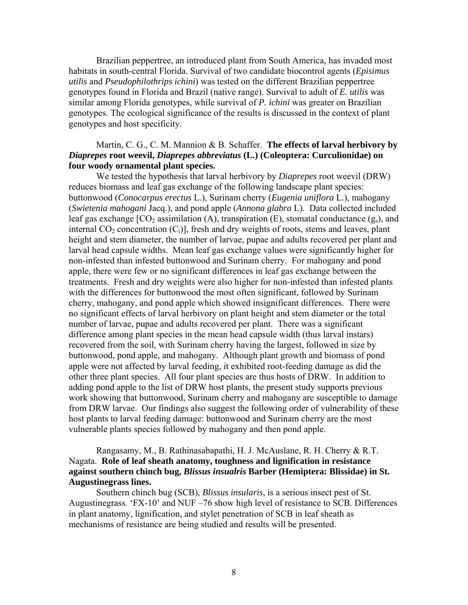Brazilian peppertree, an introduced plant from South America, has invaded most habitats in south-central Florida. Survival of two candidate biocontrol agents (*Episimus utilis* and *Pseudophilothrips ichini*) was tested on the different Brazilian peppertree genotypes found in Florida and Brazil (native range). Survival to adult of *E. utilis* was similar among Florida genotypes, while survival of *P. ichini* was greater on Brazilian genotypes. The ecological significance of the results is discussed in the context of plant genotypes and host specificity.

# Martin, C. G., C. M. Mannion & B. Schaffer. **The effects of larval herbivory by**  *Diaprepes* **root weevil,** *Diaprepes abbreviatus* **(L.) (Coleoptera: Curculionidae) on four woody ornamental plant species.**

We tested the hypothesis that larval herbivory by *Diaprepes* root weevil (DRW) reduces biomass and leaf gas exchange of the following landscape plant species: buttonwood (*Conocarpus erectus* L.), Surinam cherry (*Eugenia uniflora* L.), mahogany (*Swietenia mahogani* Jacq.), and pond apple (*Annona glabra* L). Data collected included leaf gas exchange  $[CO<sub>2</sub>$  assimilation (A), transpiration (E), stomatal conductance (g<sub>s</sub>), and internal  $CO_2$  concentration  $(C_i)$ ], fresh and dry weights of roots, stems and leaves, plant height and stem diameter, the number of larvae, pupae and adults recovered per plant and larval head capsule widths. Mean leaf gas exchange values were significantly higher for non-infested than infested buttonwood and Surinam cherry. For mahogany and pond apple, there were few or no significant differences in leaf gas exchange between the treatments. Fresh and dry weights were also higher for non-infested than infested plants with the differences for buttonwood the most often significant, followed by Surinam cherry, mahogany, and pond apple which showed insignificant differences. There were no significant effects of larval herbivory on plant height and stem diameter or the total number of larvae, pupae and adults recovered per plant. There was a significant difference among plant species in the mean head capsule width (thus larval instars) recovered from the soil, with Surinam cherry having the largest, followed in size by buttonwood, pond apple, and mahogany. Although plant growth and biomass of pond apple were not affected by larval feeding, it exhibited root-feeding damage as did the other three plant species. All four plant species are thus hosts of DRW. In addition to adding pond apple to the list of DRW host plants, the present study supports previous work showing that buttonwood, Surinam cherry and mahogany are susceptible to damage from DRW larvae. Our findings also suggest the following order of vulnerability of these host plants to larval feeding damage: buttonwood and Surinam cherry are the most vulnerable plants species followed by mahogany and then pond apple.

 Rangasamy, M., B. Rathinasabapathi, H. J. McAuslane, R. H. Cherry & R.T. Nagata. **Role of leaf sheath anatomy, toughness and lignification in resistance against southern chinch bug,** *Blissus insualris* **Barber (Hemiptera: Blissidae) in St. Augustinegrass lines.**

 Southern chinch bug (SCB), *Blissus insularis*, is a serious insect pest of St. Augustinegrass. 'FX-10' and NUF –76 show high level of resistance to SCB. Differences in plant anatomy, lignification, and stylet penetration of SCB in leaf sheath as mechanisms of resistance are being studied and results will be presented.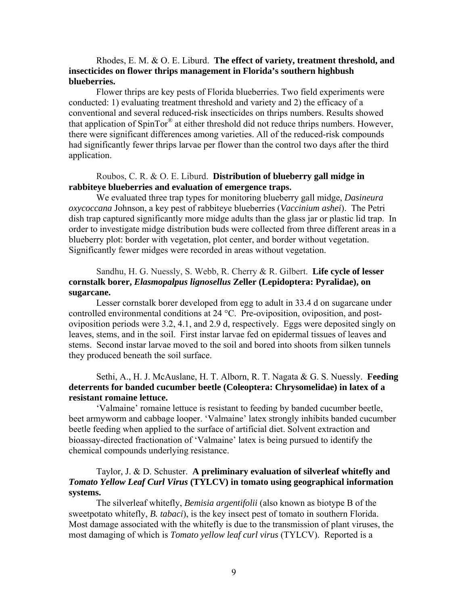# Rhodes, E. M. & O. E. Liburd. **The effect of variety, treatment threshold, and insecticides on flower thrips management in Florida's southern highbush blueberries.**

 Flower thrips are key pests of Florida blueberries. Two field experiments were conducted: 1) evaluating treatment threshold and variety and 2) the efficacy of a conventional and several reduced-risk insecticides on thrips numbers. Results showed that application of SpinTor® at either threshold did not reduce thrips numbers. However, there were significant differences among varieties. All of the reduced-risk compounds had significantly fewer thrips larvae per flower than the control two days after the third application.

## Roubos, C. R. & O. E. Liburd. **Distribution of blueberry gall midge in rabbiteye blueberries and evaluation of emergence traps.**

We evaluated three trap types for monitoring blueberry gall midge, *Dasineura oxycoccana* Johnson, a key pest of rabbiteye blueberries (*Vaccinium ashei*). The Petri dish trap captured significantly more midge adults than the glass jar or plastic lid trap. In order to investigate midge distribution buds were collected from three different areas in a blueberry plot: border with vegetation, plot center, and border without vegetation. Significantly fewer midges were recorded in areas without vegetation.

# Sandhu, H. G. Nuessly, S. Webb, R. Cherry & R. Gilbert. **Life cycle of lesser cornstalk borer,** *Elasmopalpus lignosellus* **Zeller (Lepidoptera: Pyralidae), on sugarcane.**

 Lesser cornstalk borer developed from egg to adult in 33.4 d on sugarcane under controlled environmental conditions at 24 °C. Pre-oviposition, oviposition, and postoviposition periods were 3.2, 4.1, and 2.9 d, respectively. Eggs were deposited singly on leaves, stems, and in the soil. First instar larvae fed on epidermal tissues of leaves and stems. Second instar larvae moved to the soil and bored into shoots from silken tunnels they produced beneath the soil surface.

# Sethi, A., H. J. McAuslane, H. T. Alborn, R. T. Nagata & G. S. Nuessly. **Feeding deterrents for banded cucumber beetle (Coleoptera: Chrysomelidae) in latex of a resistant romaine lettuce.**

 'Valmaine' romaine lettuce is resistant to feeding by banded cucumber beetle, beet armyworm and cabbage looper. 'Valmaine' latex strongly inhibits banded cucumber beetle feeding when applied to the surface of artificial diet. Solvent extraction and bioassay-directed fractionation of 'Valmaine' latex is being pursued to identify the chemical compounds underlying resistance.

# Taylor, J. & D. Schuster. **A preliminary evaluation of silverleaf whitefly and**  *Tomato Yellow Leaf Curl Virus* **(TYLCV) in tomato using geographical information systems.**

 The silverleaf whitefly, *Bemisia argentifolii* (also known as biotype B of the sweetpotato whitefly, *B. tabaci*), is the key insect pest of tomato in southern Florida. Most damage associated with the whitefly is due to the transmission of plant viruses, the most damaging of which is *Tomato yellow leaf curl virus* (TYLCV). Reported is a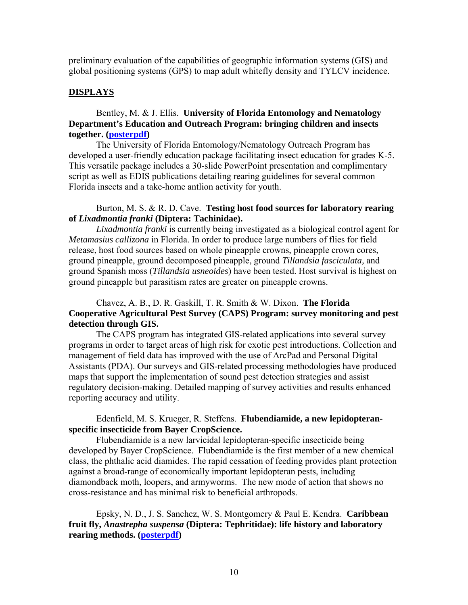preliminary evaluation of the capabilities of geographic information systems (GIS) and global positioning systems (GPS) to map adult whitefly density and TYLCV incidence.

#### **DISPLAYS**

# Bentley, M. & J. Ellis. **University of Florida Entomology and Nematology Department's Education and Outreach Program: bringing children and insects together. ([posterpdf](http://flaentsoc.org/fes07-bentley.pdf))**

 The University of Florida Entomology/Nematology Outreach Program has developed a user-friendly education package facilitating insect education for grades K-5. This versatile package includes a 30-slide PowerPoint presentation and complimentary script as well as EDIS publications detailing rearing guidelines for several common Florida insects and a take-home antlion activity for youth.

## Burton, M. S. & R. D. Cave. **Testing host food sources for laboratory rearing of** *Lixadmontia franki* **(Diptera: Tachinidae).**

*Lixadmontia franki* is currently being investigated as a biological control agent for *Metamasius callizona* in Florida. In order to produce large numbers of flies for field release, host food sources based on whole pineapple crowns, pineapple crown cores, ground pineapple, ground decomposed pineapple, ground *Tillandsia fasciculata,* and ground Spanish moss (*Tillandsia usneoides*) have been tested. Host survival is highest on ground pineapple but parasitism rates are greater on pineapple crowns.

# Chavez, A. B., D. R. Gaskill, T. R. Smith & W. Dixon. **The Florida Cooperative Agricultural Pest Survey (CAPS) Program: survey monitoring and pest detection through GIS.**

 The CAPS program has integrated GIS-related applications into several survey programs in order to target areas of high risk for exotic pest introductions. Collection and management of field data has improved with the use of ArcPad and Personal Digital Assistants (PDA). Our surveys and GIS-related processing methodologies have produced maps that support the implementation of sound pest detection strategies and assist regulatory decision-making. Detailed mapping of survey activities and results enhanced reporting accuracy and utility.

### Edenfield, M. S. Krueger, R. Steffens. **Flubendiamide, a new lepidopteranspecific insecticide from Bayer CropScience.**

Flubendiamide is a new larvicidal lepidopteran-specific insecticide being developed by Bayer CropScience. Flubendiamide is the first member of a new chemical class, the phthalic acid diamides. The rapid cessation of feeding provides plant protection against a broad-range of economically important lepidopteran pests, including diamondback moth, loopers, and armyworms. The new mode of action that shows no cross-resistance and has minimal risk to beneficial arthropods.

 Epsky, N. D., J. S. Sanchez, W. S. Montgomery & Paul E. Kendra. **Caribbean fruit fly,** *Anastrepha suspensa* **(Diptera: Tephritidae): life history and laboratory rearing methods. [\(posterpdf\)](http://flaentsoc.org/fes07-kendra2.pdf)**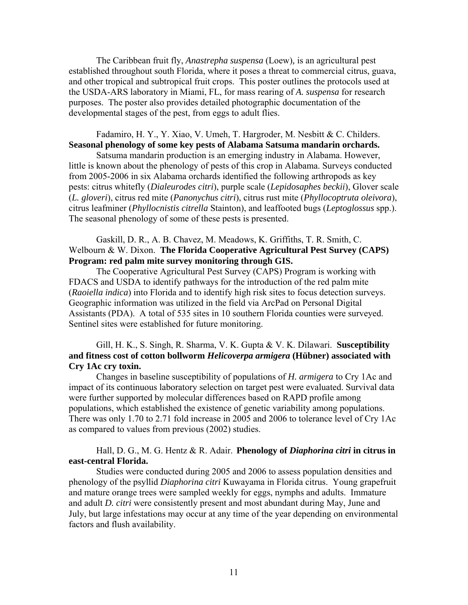The Caribbean fruit fly, *Anastrepha suspensa* (Loew)*,* is an agricultural pest established throughout south Florida, where it poses a threat to commercial citrus, guava, and other tropical and subtropical fruit crops. This poster outlines the protocols used at the USDA-ARS laboratory in Miami, FL, for mass rearing of *A. suspensa* for research purposes. The poster also provides detailed photographic documentation of the developmental stages of the pest, from eggs to adult flies.

# Fadamiro, H. Y., Y. Xiao, V. Umeh, T. Hargroder, M. Nesbitt & C. Childers. **Seasonal phenology of some key pests of Alabama Satsuma mandarin orchards.**

 Satsuma mandarin production is an emerging industry in Alabama. However, little is known about the phenology of pests of this crop in Alabama. Surveys conducted from 2005-2006 in six Alabama orchards identified the following arthropods as key pests: citrus whitefly (*Dialeurodes citri*), purple scale (*Lepidosaphes beckii*), Glover scale (*L. gloveri*), citrus red mite (*Panonychus citri*), citrus rust mite (*Phyllocoptruta oleivora*), citrus leafminer (*Phyllocnistis citrella* Stainton), and leaffooted bugs (*Leptoglossus* spp.). The seasonal phenology of some of these pests is presented.

### Gaskill, D. R., A. B. Chavez, M. Meadows, K. Griffiths, T. R. Smith, C. Welbourn & W. Dixon. **The Florida Cooperative Agricultural Pest Survey (CAPS) Program: red palm mite survey monitoring through GIS.**

 The Cooperative Agricultural Pest Survey (CAPS) Program is working with FDACS and USDA to identify pathways for the introduction of the red palm mite (*Raoiella indica*) into Florida and to identify high risk sites to focus detection surveys. Geographic information was utilized in the field via ArcPad on Personal Digital Assistants (PDA). A total of 535 sites in 10 southern Florida counties were surveyed. Sentinel sites were established for future monitoring.

# Gill, H. K., S. Singh, R. Sharma, V. K. Gupta & V. K. Dilawari. **Susceptibility and fitness cost of cotton bollworm** *Helicoverpa armigera* **(Hübner) associated with Cry 1Ac cry toxin.**

 Changes in baseline susceptibility of populations of *H. armigera* to Cry 1Ac and impact of its continuous laboratory selection on target pest were evaluated. Survival data were further supported by molecular differences based on RAPD profile among populations, which established the existence of genetic variability among populations. There was only 1.70 to 2.71 fold increase in 2005 and 2006 to tolerance level of Cry 1Ac as compared to values from previous (2002) studies.

### Hall, D. G., M. G. Hentz & R. Adair. **Phenology of** *Diaphorina citri* **in citrus in east-central Florida.**

Studies were conducted during 2005 and 2006 to assess population densities and phenology of the psyllid *Diaphorina citri* Kuwayama in Florida citrus. Young grapefruit and mature orange trees were sampled weekly for eggs, nymphs and adults. Immature and adult *D. citri* were consistently present and most abundant during May, June and July, but large infestations may occur at any time of the year depending on environmental factors and flush availability.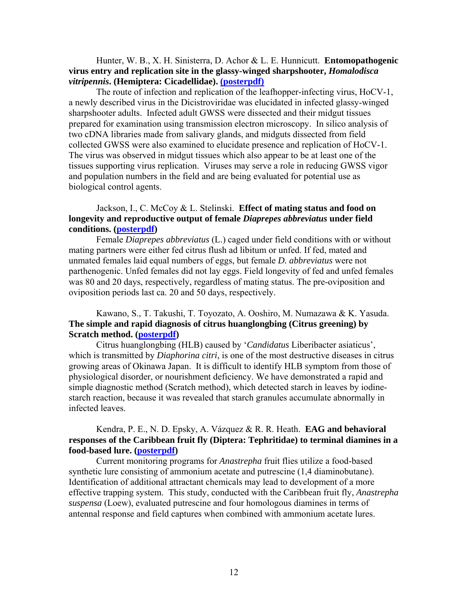# Hunter, W. B., X. H. Sinisterra, D. Achor & L. E. Hunnicutt. **Entomopathogenic virus entry and replication site in the glassy-winged sharpshooter,** *Homalodisca vitripennis***. (Hemiptera: Cicadellidae). [\(posterpdf\)](http://flaentsoc.org/hunterfes07hocv1.pdf)**

 The route of infection and replication of the leafhopper-infecting virus, HoCV-1, a newly described virus in the Dicistroviridae was elucidated in infected glassy-winged sharpshooter adults. Infected adult GWSS were dissected and their midgut tissues prepared for examination using transmission electron microscopy. In silico analysis of two cDNA libraries made from salivary glands, and midguts dissected from field collected GWSS were also examined to elucidate presence and replication of HoCV-1. The virus was observed in midgut tissues which also appear to be at least one of the tissues supporting virus replication. Viruses may serve a role in reducing GWSS vigor and population numbers in the field and are being evaluated for potential use as biological control agents.

# Jackson, I., C. McCoy & L. Stelinski. **Effect of mating status and food on longevity and reproductive output of female** *Diaprepes abbreviatus* **under field conditions. ([posterpdf](http://flaentsoc.org/fes07-jackson.pdf))**

 Female *Diaprepes abbreviatus* (L.) caged under field conditions with or without mating partners were either fed citrus flush ad libitum or unfed. If fed, mated and unmated females laid equal numbers of eggs, but female *D. abbreviatus* were not parthenogenic. Unfed females did not lay eggs. Field longevity of fed and unfed females was 80 and 20 days, respectively, regardless of mating status. The pre-oviposition and oviposition periods last ca. 20 and 50 days, respectively.

## Kawano, S., T. Takushi, T. Toyozato, A. Ooshiro, M. Numazawa & K. Yasuda. **The simple and rapid diagnosis of citrus huanglongbing (Citrus greening) by Scratch method. [\(posterpdf](http://flaentsoc.org/fes07dsp15kawano.pdf))**

 Citrus huanglongbing (HLB) caused by '*Candidatus* Liberibacter asiaticus', which is transmitted by *Diaphorina citri*, is one of the most destructive diseases in citrus growing areas of Okinawa Japan. It is difficult to identify HLB symptom from those of physiological disorder, or nourishment deficiency. We have demonstrated a rapid and simple diagnostic method (Scratch method), which detected starch in leaves by iodinestarch reaction, because it was revealed that starch granules accumulate abnormally in infected leaves.

# Kendra, P. E., N. D. Epsky, A. Vázquez & R. R. Heath. **EAG and behavioral responses of the Caribbean fruit fly (Diptera: Tephritidae) to terminal diamines in a food-based lure. ([posterpdf\)](http://flaentsoc.org/fes07-kendra.pdf)**

 Current monitoring programs for *Anastrepha* fruit flies utilize a food-based synthetic lure consisting of ammonium acetate and putrescine (1,4 diaminobutane). Identification of additional attractant chemicals may lead to development of a more effective trapping system. This study, conducted with the Caribbean fruit fly, *Anastrepha suspensa* (Loew), evaluated putrescine and four homologous diamines in terms of antennal response and field captures when combined with ammonium acetate lures.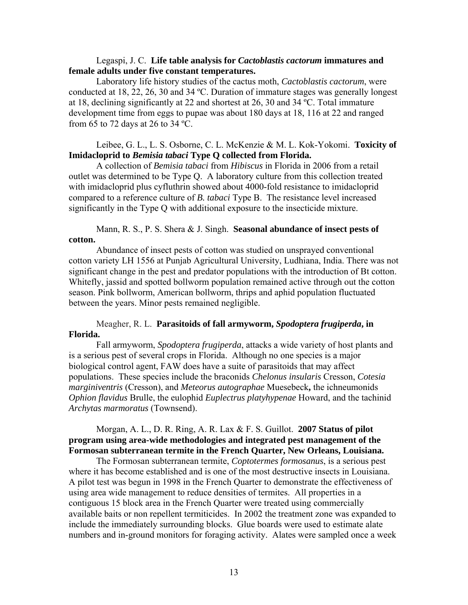### Legaspi, J. C. **Life table analysis for** *Cactoblastis cactorum* **immatures and female adults under five constant temperatures.**

 Laboratory life history studies of the cactus moth, *Cactoblastis cactorum*, were conducted at 18, 22, 26, 30 and 34 ºC. Duration of immature stages was generally longest at 18, declining significantly at 22 and shortest at 26, 30 and 34 ºC. Total immature development time from eggs to pupae was about 180 days at 18, 116 at 22 and ranged from 65 to 72 days at 26 to 34 ºC.

# Leibee, G. L., L. S. Osborne, C. L. McKenzie & M. L. Kok-Yokomi. **Toxicity of Imidacloprid to** *Bemisia tabaci* **Type Q collected from Florida.**

 A collection of *Bemisia tabaci* from *Hibiscus* in Florida in 2006 from a retail outlet was determined to be Type Q. A laboratory culture from this collection treated with imidacloprid plus cyfluthrin showed about 4000-fold resistance to imidacloprid compared to a reference culture of *B. tabaci* Type B. The resistance level increased significantly in the Type Q with additional exposure to the insecticide mixture.

### Mann, R. S., P. S. Shera & J. Singh. **Seasonal abundance of insect pests of cotton.**

 Abundance of insect pests of cotton was studied on unsprayed conventional cotton variety LH 1556 at Punjab Agricultural University, Ludhiana, India. There was not significant change in the pest and predator populations with the introduction of Bt cotton. Whitefly, jassid and spotted bollworm population remained active through out the cotton season. Pink bollworm, American bollworm, thrips and aphid population fluctuated between the years. Minor pests remained negligible.

# Meagher, R. L. **Parasitoids of fall armyworm,** *Spodoptera frugiperda***, in Florida.**

Fall armyworm, *Spodoptera frugiperda*, attacks a wide variety of host plants and is a serious pest of several crops in Florida. Although no one species is a major biological control agent, FAW does have a suite of parasitoids that may affect populations. These species include the braconids *Chelonus insularis* Cresson, *Cotesia marginiventris* (Cresson), and *Meteorus autographae* Muesebeck**,** the ichneumonids *Ophion flavidus* Brulle, the eulophid *Euplectrus platyhypenae* Howard, and the tachinid *Archytas marmoratus* (Townsend).

# Morgan, A. L., D. R. Ring, A. R. Lax & F. S. Guillot. **2007 Status of pilot program using area-wide methodologies and integrated pest management of the Formosan subterranean termite in the French Quarter, New Orleans, Louisiana.**

 The Formosan subterranean termite, *Coptotermes formosanus*, is a serious pest where it has become established and is one of the most destructive insects in Louisiana. A pilot test was begun in 1998 in the French Quarter to demonstrate the effectiveness of using area wide management to reduce densities of termites. All properties in a contiguous 15 block area in the French Quarter were treated using commercially available baits or non repellent termiticides. In 2002 the treatment zone was expanded to include the immediately surrounding blocks. Glue boards were used to estimate alate numbers and in-ground monitors for foraging activity. Alates were sampled once a week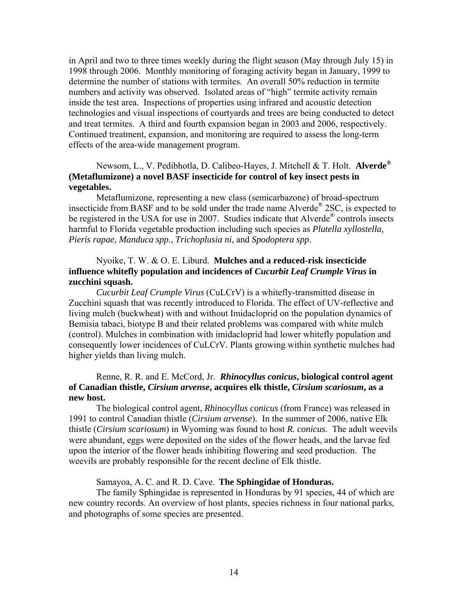in April and two to three times weekly during the flight season (May through July 15) in 1998 through 2006. Monthly monitoring of foraging activity began in January, 1999 to determine the number of stations with termites. An overall 50% reduction in termite numbers and activity was observed. Isolated areas of "high" termite activity remain inside the test area. Inspections of properties using infrared and acoustic detection technologies and visual inspections of courtyards and trees are being conducted to detect and treat termites. A third and fourth expansion began in 2003 and 2006, respectively. Continued treatment, expansion, and monitoring are required to assess the long-term effects of the area-wide management program.

# Newsom, L., V. Pedibhotla, D. Calibeo-Hayes, J. Mitchell & T. Holt. **Alverde® (Metaflumizone) a novel BASF insecticide for control of key insect pests in vegetables.**

Metaflumizone, representing a new class (semicarbazone) of broad-spectrum insecticide from BASF and to be sold under the trade name Alverde® 2SC, is expected to be registered in the USA for use in 2007. Studies indicate that Alverde<sup>®</sup> controls insects harmful to Florida vegetable production including such species as *Plutella xyllostella, Pieris rapae*, *Manduca spp.*, *Trichoplusia ni*, and *Spodoptera spp*.

# Nyoike, T. W. & O. E. Liburd. **Mulches and a reduced-risk insecticide influence whitefly population and incidences of** *Cucurbit Leaf Crumple Virus* **in zucchini squash.**

*Cucurbit Leaf Crumple Virus* (CuLCrV) is a whitefly-transmitted disease in Zucchini squash that was recently introduced to Florida. The effect of UV-reflective and living mulch (buckwheat) with and without Imidacloprid on the population dynamics of Bemisia tabaci, biotype B and their related problems was compared with white mulch (control). Mulches in combination with imidacloprid had lower whitefly population and consequently lower incidences of CuLCrV. Plants growing within synthetic mulches had higher yields than living mulch.

### Renne, R. R. and E. McCord, Jr. *Rhinocyllus conicus***, biological control agent of Canadian thistle,** *Cirsium arvense***, acquires elk thistle,** *Cirsium scariosum***, as a new host.**

 The biological control agent, *Rhinocyllus conicus* (from France) was released in 1991 to control Canadian thistle (*Cirsium arvense*). In the summer of 2006, native Elk thistle (*Cirsium scariosum*) in Wyoming was found to host *R. conicus*. The adult weevils were abundant, eggs were deposited on the sides of the flower heads, and the larvae fed upon the interior of the flower heads inhibiting flowering and seed production. The weevils are probably responsible for the recent decline of Elk thistle.

Samayoa, A. C. and R. D. Cave. **The Sphingidae of Honduras.**

The family Sphingidae is represented in Honduras by 91 species, 44 of which are new country records. An overview of host plants, species richness in four national parks, and photographs of some species are presented.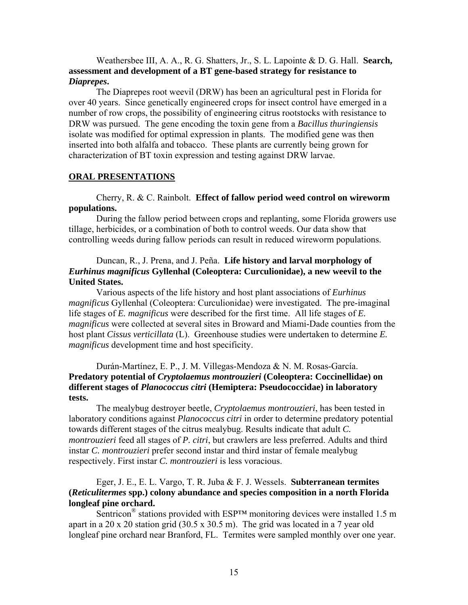Weathersbee III, A. A., R. G. Shatters, Jr., S. L. Lapointe & D. G. Hall. **Search, assessment and development of a BT gene-based strategy for resistance to**  *Diaprepes***.**

The Diaprepes root weevil (DRW) has been an agricultural pest in Florida for over 40 years. Since genetically engineered crops for insect control have emerged in a number of row crops, the possibility of engineering citrus rootstocks with resistance to DRW was pursued. The gene encoding the toxin gene from a *Bacillus thuringiensis* isolate was modified for optimal expression in plants. The modified gene was then inserted into both alfalfa and tobacco. These plants are currently being grown for characterization of BT toxin expression and testing against DRW larvae.

### **ORAL PRESENTATIONS**

### Cherry, R. & C. Rainbolt. **Effect of fallow period weed control on wireworm populations.**

 During the fallow period between crops and replanting, some Florida growers use tillage, herbicides, or a combination of both to control weeds. Our data show that controlling weeds during fallow periods can result in reduced wireworm populations.

# Duncan, R., J. Prena, and J. Peña. **Life history and larval morphology of**  *Eurhinus magnificus* **Gyllenhal (Coleoptera: Curculionidae), a new weevil to the United States.**

 Various aspects of the life history and host plant associations of *Eurhinus magnificus* Gyllenhal (Coleoptera: Curculionidae) were investigated. The pre-imaginal life stages of *E. magnificus* were described for the first time. All life stages of *E. magnificus* were collected at several sites in Broward and Miami-Dade counties from the host plant *Cissus verticillata* (L). Greenhouse studies were undertaken to determine *E. magnificus* development time and host specificity.

# Durán-Martínez, E. P., J. M. Villegas-Mendoza & N. M. Rosas-García. **Predatory potential of** *Cryptolaemus montrouzieri* **(Coleoptera: Coccinellidae) on different stages of** *Planococcus citri* **(Hemiptera: Pseudococcidae) in laboratory tests.**

The mealybug destroyer beetle, *Cryptolaemus montrouzieri*, has been tested in laboratory conditions against *Planococcus citri* in order to determine predatory potential towards different stages of the citrus mealybug. Results indicate that adult *C. montrouzieri* feed all stages of *P. citri*, but crawlers are less preferred. Adults and third instar *C. montrouzieri* prefer second instar and third instar of female mealybug respectively. First instar *C. montrouzieri* is less voracious.

## Eger, J. E., E. L. Vargo, T. R. Juba & F. J. Wessels. **Subterranean termites (***Reticulitermes* **spp.) colony abundance and species composition in a north Florida longleaf pine orchard.**

Sentricon<sup>®</sup> stations provided with ESP<sup>™</sup> monitoring devices were installed 1.5 m apart in a 20 x 20 station grid (30.5 x 30.5 m). The grid was located in a 7 year old longleaf pine orchard near Branford, FL. Termites were sampled monthly over one year.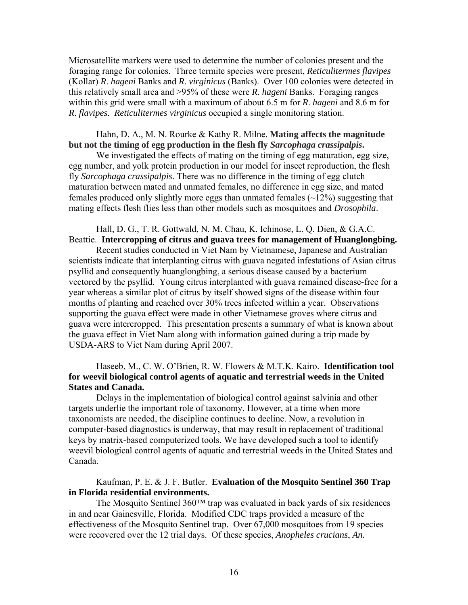Microsatellite markers were used to determine the number of colonies present and the foraging range for colonies. Three termite species were present, *Reticulitermes flavipes* (Kollar) *R*. *hageni* Banks and *R*. *virginicus* (Banks). Over 100 colonies were detected in this relatively small area and >95% of these were *R*. *hageni* Banks. Foraging ranges within this grid were small with a maximum of about 6.5 m for *R*. *hageni* and 8.6 m for *R*. *flavipes*. *Reticulitermes virginicus* occupied a single monitoring station.

# Hahn, D. A., M. N. Rourke & Kathy R. Milne. **Mating affects the magnitude but not the timing of egg production in the flesh fly** *Sarcophaga crassipalpis***.**

We investigated the effects of mating on the timing of egg maturation, egg size, egg number, and yolk protein production in our model for insect reproduction, the flesh fly *Sarcophaga crassipalpis*. There was no difference in the timing of egg clutch maturation between mated and unmated females, no difference in egg size, and mated females produced only slightly more eggs than unmated females  $(\sim 12\%)$  suggesting that mating effects flesh flies less than other models such as mosquitoes and *Drosophila*.

### Hall, D. G., T. R. Gottwald, N. M. Chau, K. Ichinose, L. Q. Dien, & G.A.C. Beattie. **Intercropping of citrus and guava trees for management of Huanglongbing.**

 Recent studies conducted in Viet Nam by Vietnamese, Japanese and Australian scientists indicate that interplanting citrus with guava negated infestations of Asian citrus psyllid and consequently huanglongbing, a serious disease caused by a bacterium vectored by the psyllid. Young citrus interplanted with guava remained disease-free for a year whereas a similar plot of citrus by itself showed signs of the disease within four months of planting and reached over 30% trees infected within a year. Observations supporting the guava effect were made in other Vietnamese groves where citrus and guava were intercropped. This presentation presents a summary of what is known about the guava effect in Viet Nam along with information gained during a trip made by USDA-ARS to Viet Nam during April 2007.

# Haseeb, M., C. W. O'Brien, R. W. Flowers & M.T.K. Kairo. **Identification tool for weevil biological control agents of aquatic and terrestrial weeds in the United States and Canada.**

 Delays in the implementation of biological control against salvinia and other targets underlie the important role of taxonomy. However, at a time when more taxonomists are needed, the discipline continues to decline. Now, a revolution in computer-based diagnostics is underway, that may result in replacement of traditional keys by matrix-based computerized tools. We have developed such a tool to identify weevil biological control agents of aquatic and terrestrial weeds in the United States and Canada.

## Kaufman, P. E. & J. F. Butler. **Evaluation of the Mosquito Sentinel 360 Trap in Florida residential environments.**

 The Mosquito Sentinel 360™ trap was evaluated in back yards of six residences in and near Gainesville, Florida. Modified CDC traps provided a measure of the effectiveness of the Mosquito Sentinel trap. Over 67,000 mosquitoes from 19 species were recovered over the 12 trial days. Of these species, *Anopheles crucians*, *An.*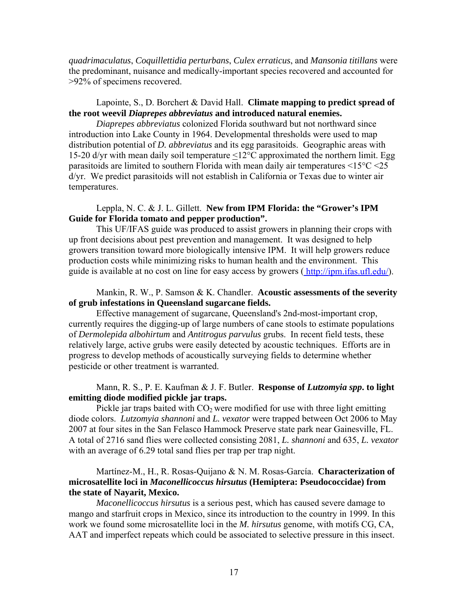*quadrimaculatus*, *Coquillettidia perturbans*, *Culex erraticus*, and *Mansonia titillans* were the predominant, nuisance and medically-important species recovered and accounted for >92% of specimens recovered.

# Lapointe, S., D. Borchert & David Hall. **Climate mapping to predict spread of the root weevil** *Diaprepes abbreviatus* **and introduced natural enemies.**

*Diaprepes abbreviatus* colonized Florida southward but not northward since introduction into Lake County in 1964. Developmental thresholds were used to map distribution potential of *D. abbreviatus* and its egg parasitoids. Geographic areas with 15-20 d/yr with mean daily soil temperature <12°C approximated the northern limit. Egg parasitoids are limited to southern Florida with mean daily air temperatures <15°C <25 d/yr. We predict parasitoids will not establish in California or Texas due to winter air temperatures.

# Leppla, N. C. & J. L. Gillett. **New from IPM Florida: the "Grower's IPM Guide for Florida tomato and pepper production".**

 This UF/IFAS guide was produced to assist growers in planning their crops with up front decisions about pest prevention and management. It was designed to help growers transition toward more biologically intensive IPM. It will help growers reduce production costs while minimizing risks to human health and the environment. This guide is available at no cost on line for easy access by growers (<http://ipm.ifas.ufl.edu/>).

### Mankin, R. W., P. Samson & K. Chandler. **Acoustic assessments of the severity of grub infestations in Queensland sugarcane fields.**

 Effective management of sugarcane, Queensland's 2nd-most-important crop, currently requires the digging-up of large numbers of cane stools to estimate populations of *Dermolepida albohirtum* and *Antitrogus parvulus* grubs. In recent field tests, these relatively large, active grubs were easily detected by acoustic techniques. Efforts are in progress to develop methods of acoustically surveying fields to determine whether pesticide or other treatment is warranted.

# Mann, R. S., P. E. Kaufman & J. F. Butler. **Response of** *Lutzomyia spp***. to light emitting diode modified pickle jar traps.**

Pickle jar traps baited with  $CO<sub>2</sub>$  were modified for use with three light emitting diode colors. *Lutzomyia shannoni* and *L. vexator* were trapped between Oct 2006 to May 2007 at four sites in the San Felasco Hammock Preserve state park near Gainesville, FL. A total of 2716 sand flies were collected consisting 2081, *L. shannoni* and 635, *L. vexator* with an average of 6.29 total sand flies per trap per trap night.

# Martínez-M., H., R. Rosas-Quijano & N. M. Rosas-García. **Characterization of microsatellite loci in** *Maconellicoccus hirsutus* **(Hemiptera: Pseudococcidae) from the state of Nayarit, Mexico.**

*Maconellicoccus hirsutus* is a serious pest, which has caused severe damage to mango and starfruit crops in Mexico, since its introduction to the country in 1999. In this work we found some microsatellite loci in the *M. hirsutus* genome, with motifs CG, CA, AAT and imperfect repeats which could be associated to selective pressure in this insect.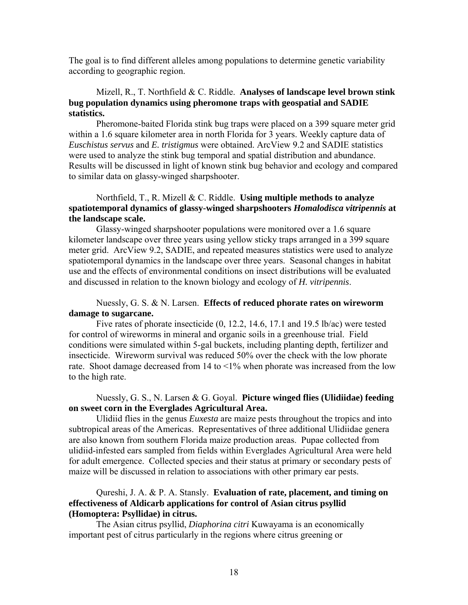The goal is to find different alleles among populations to determine genetic variability according to geographic region.

# Mizell, R., T. Northfield & C. Riddle. **Analyses of landscape level brown stink bug population dynamics using pheromone traps with geospatial and SADIE statistics.**

 Pheromone-baited Florida stink bug traps were placed on a 399 square meter grid within a 1.6 square kilometer area in north Florida for 3 years. Weekly capture data of *Euschistus servus* and *E. tristigmus* were obtained. ArcView 9.2 and SADIE statistics were used to analyze the stink bug temporal and spatial distribution and abundance. Results will be discussed in light of known stink bug behavior and ecology and compared to similar data on glassy-winged sharpshooter.

# Northfield, T., R. Mizell & C. Riddle. **Using multiple methods to analyze spatiotemporal dynamics of glassy-winged sharpshooters** *Homalodisca vitripennis* **at the landscape scale.**

 Glassy-winged sharpshooter populations were monitored over a 1.6 square kilometer landscape over three years using yellow sticky traps arranged in a 399 square meter grid. ArcView 9.2, SADIE, and repeated measures statistics were used to analyze spatiotemporal dynamics in the landscape over three years. Seasonal changes in habitat use and the effects of environmental conditions on insect distributions will be evaluated and discussed in relation to the known biology and ecology of *H. vitripennis*.

# Nuessly, G. S. & N. Larsen. **Effects of reduced phorate rates on wireworm damage to sugarcane.**

 Five rates of phorate insecticide (0, 12.2, 14.6, 17.1 and 19.5 lb/ac) were tested for control of wireworms in mineral and organic soils in a greenhouse trial. Field conditions were simulated within 5-gal buckets, including planting depth, fertilizer and insecticide. Wireworm survival was reduced 50% over the check with the low phorate rate. Shoot damage decreased from 14 to <1% when phorate was increased from the low to the high rate.

## Nuessly, G. S., N. Larsen & G. Goyal. **Picture winged flies (Ulidiidae) feeding on sweet corn in the Everglades Agricultural Area.**

 Ulidiid flies in the genus *Euxesta* are maize pests throughout the tropics and into subtropical areas of the Americas. Representatives of three additional Ulidiidae genera are also known from southern Florida maize production areas. Pupae collected from ulidiid-infested ears sampled from fields within Everglades Agricultural Area were held for adult emergence. Collected species and their status at primary or secondary pests of maize will be discussed in relation to associations with other primary ear pests.

### Qureshi, J. A. & P. A. Stansly. **Evaluation of rate, placement, and timing on effectiveness of Aldicarb applications for control of Asian citrus psyllid (Homoptera: Psyllidae) in citrus.**

 The Asian citrus psyllid, *Diaphorina citri* Kuwayama is an economically important pest of citrus particularly in the regions where citrus greening or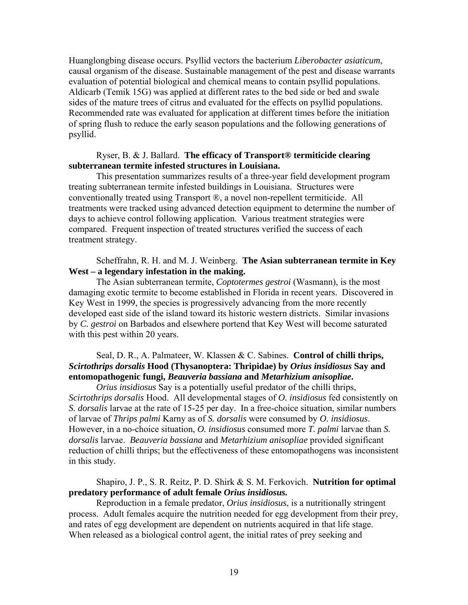Huanglongbing disease occurs. Psyllid vectors the bacterium *Liberobacter asiaticum*, causal organism of the disease. Sustainable management of the pest and disease warrants evaluation of potential biological and chemical means to contain psyllid populations. Aldicarb (Temik 15G) was applied at different rates to the bed side or bed and swale sides of the mature trees of citrus and evaluated for the effects on psyllid populations. Recommended rate was evaluated for application at different times before the initiation of spring flush to reduce the early season populations and the following generations of psyllid.

## Ryser, B. & J. Ballard. **The efficacy of Transport® termiticide clearing subterranean termite infested structures in Louisiana.**

This presentation summarizes results of a three-year field development program treating subterranean termite infested buildings in Louisiana. Structures were conventionally treated using Transport ®, a novel non-repellent termiticide. All treatments were tracked using advanced detection equipment to determine the number of days to achieve control following application. Various treatment strategies were compared. Frequent inspection of treated structures verified the success of each treatment strategy.

# Scheffrahn, R. H. and M. J. Weinberg. **The Asian subterranean termite in Key West – a legendary infestation in the making.**

 The Asian subterranean termite, *Coptotermes gestroi* (Wasmann), is the most damaging exotic termite to become established in Florida in recent years. Discovered in Key West in 1999, the species is progressively advancing from the more recently developed east side of the island toward its historic western districts. Similar invasions by *C. gestroi* on Barbados and elsewhere portend that Key West will become saturated with this pest within 20 years.

# Seal, D. R., A. Palmateer, W. Klassen & C. Sabines. **Control of chilli thrips,**  *Scirtothrips dorsalis* **Hood (Thysanoptera: Thripidae) by** *Orius insidiosus* **Say and entomopathogenic fungi,** *Beauveria bassiana* **and** *Metarhizium anisopliae***.**

*Orius insidiosus* Say is a potentially useful predator of the chilli thrips, *Scirtothrips dorsalis* Hood. All developmental stages of *O. insidiosus* fed consistently on *S. dorsalis* larvae at the rate of 15-25 per day. In a free-choice situation, similar numbers of larvae of *Thrips palmi* Karny as of *S. dorsalis* were consumed by *O. insidiosus*. However, in a no-choice situation, *O. insidiosus* consumed more *T. palmi* larvae than *S. dorsalis* larvae. *Beauveria bassiana* and *Metarhizium anisopliae* provided significant reduction of chilli thrips; but the effectiveness of these entomopathogens was inconsistent in this study.

## Shapiro, J. P., S. R. Reitz, P. D. Shirk & S. M. Ferkovich. **Nutrition for optimal predatory performance of adult female** *Orius insidiosus.*

 Reproduction in a female predator, *Orius insidiosus*, is a nutritionally stringent process. Adult females acquire the nutrition needed for egg development from their prey, and rates of egg development are dependent on nutrients acquired in that life stage. When released as a biological control agent, the initial rates of prey seeking and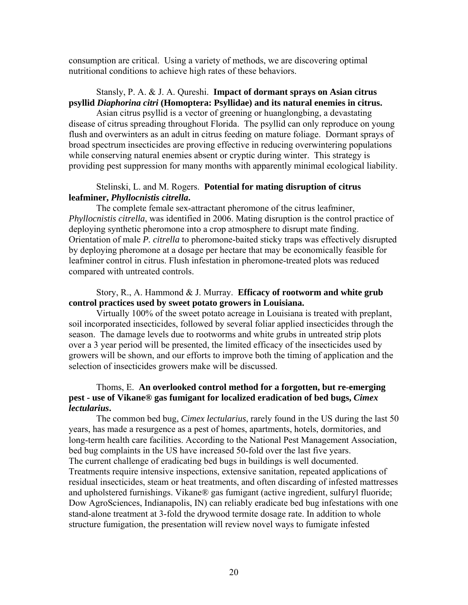consumption are critical. Using a variety of methods, we are discovering optimal nutritional conditions to achieve high rates of these behaviors.

# Stansly, P. A. & J. A. Qureshi. **Impact of dormant sprays on Asian citrus psyllid** *Diaphorina citri* **(Homoptera: Psyllidae) and its natural enemies in citrus.**

 Asian citrus psyllid is a vector of greening or huanglongbing, a devastating disease of citrus spreading throughout Florida. The psyllid can only reproduce on young flush and overwinters as an adult in citrus feeding on mature foliage. Dormant sprays of broad spectrum insecticides are proving effective in reducing overwintering populations while conserving natural enemies absent or cryptic during winter. This strategy is providing pest suppression for many months with apparently minimal ecological liability.

### Stelinski, L. and M. Rogers. **Potential for mating disruption of citrus leafminer,** *Phyllocnistis citrella***.**

 The complete female sex-attractant pheromone of the citrus leafminer, *Phyllocnistis citrella*, was identified in 2006. Mating disruption is the control practice of deploying synthetic pheromone into a crop atmosphere to disrupt mate finding. Orientation of male *P. citrella* to pheromone-baited sticky traps was effectively disrupted by deploying pheromone at a dosage per hectare that may be economically feasible for leafminer control in citrus. Flush infestation in pheromone-treated plots was reduced compared with untreated controls.

## Story, R., A. Hammond & J. Murray. **Efficacy of rootworm and white grub control practices used by sweet potato growers in Louisiana.**

 Virtually 100% of the sweet potato acreage in Louisiana is treated with preplant, soil incorporated insecticides, followed by several foliar applied insecticides through the season. The damage levels due to rootworms and white grubs in untreated strip plots over a 3 year period will be presented, the limited efficacy of the insecticides used by growers will be shown, and our efforts to improve both the timing of application and the selection of insecticides growers make will be discussed.

## Thoms, E. **An overlooked control method for a forgotten, but re-emerging pest - use of Vikane® gas fumigant for localized eradication of bed bugs,** *Cimex lectularius***.**

 The common bed bug, *Cimex lectularius*, rarely found in the US during the last 50 years, has made a resurgence as a pest of homes, apartments, hotels, dormitories, and long-term health care facilities. According to the National Pest Management Association, bed bug complaints in the US have increased 50-fold over the last five years. The current challenge of eradicating bed bugs in buildings is well documented. Treatments require intensive inspections, extensive sanitation, repeated applications of residual insecticides, steam or heat treatments, and often discarding of infested mattresses and upholstered furnishings. Vikane® gas fumigant (active ingredient, sulfuryl fluoride; Dow AgroSciences, Indianapolis, IN) can reliably eradicate bed bug infestations with one stand-alone treatment at 3-fold the drywood termite dosage rate. In addition to whole structure fumigation, the presentation will review novel ways to fumigate infested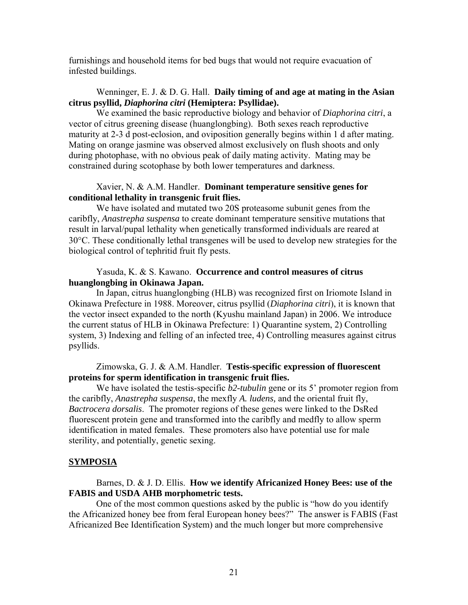furnishings and household items for bed bugs that would not require evacuation of infested buildings.

### Wenninger, E. J. & D. G. Hall. **Daily timing of and age at mating in the Asian citrus psyllid,** *Diaphorina citri* **(Hemiptera: Psyllidae).**

 We examined the basic reproductive biology and behavior of *Diaphorina citri*, a vector of citrus greening disease (huanglongbing). Both sexes reach reproductive maturity at 2-3 d post-eclosion, and oviposition generally begins within 1 d after mating. Mating on orange jasmine was observed almost exclusively on flush shoots and only during photophase, with no obvious peak of daily mating activity. Mating may be constrained during scotophase by both lower temperatures and darkness.

### Xavier, N. & A.M. Handler. **Dominant temperature sensitive genes for conditional lethality in transgenic fruit flies.**

 We have isolated and mutated two 20S proteasome subunit genes from the caribfly, *Anastrepha suspensa* to create dominant temperature sensitive mutations that result in larval/pupal lethality when genetically transformed individuals are reared at 30°C. These conditionally lethal transgenes will be used to develop new strategies for the biological control of tephritid fruit fly pests.

## Yasuda, K. & S. Kawano. **Occurrence and control measures of citrus huanglongbing in Okinawa Japan.**

 In Japan, citrus huanglongbing (HLB) was recognized first on Iriomote Island in Okinawa Prefecture in 1988. Moreover, citrus psyllid (*Diaphorina citri*), it is known that the vector insect expanded to the north (Kyushu mainland Japan) in 2006. We introduce the current status of HLB in Okinawa Prefecture: 1) Quarantine system, 2) Controlling system, 3) Indexing and felling of an infected tree, 4) Controlling measures against citrus psyllids.

# Zimowska, G. J. & A.M. Handler. **Testis-specific expression of fluorescent proteins for sperm identification in transgenic fruit flies.**

We have isolated the testis-specific *b2-tubulin* gene or its 5' promoter region from the caribfly, *Anastrepha suspensa*, the mexfly *A. ludens,* and the oriental fruit fly, *Bactrocera dorsalis*. The promoter regions of these genes were linked to the DsRed fluorescent protein gene and transformed into the caribfly and medfly to allow sperm identification in mated females. These promoters also have potential use for male sterility, and potentially, genetic sexing.

## **SYMPOSIA**

## Barnes, D. & J. D. Ellis. **How we identify Africanized Honey Bees: use of the FABIS and USDA AHB morphometric tests.**

 One of the most common questions asked by the public is "how do you identify the Africanized honey bee from feral European honey bees?" The answer is FABIS (Fast Africanized Bee Identification System) and the much longer but more comprehensive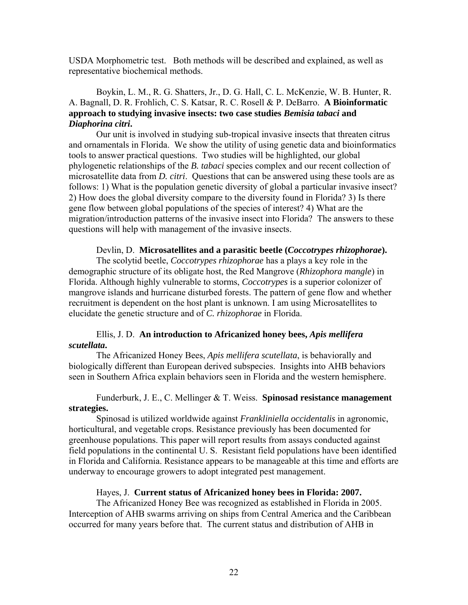USDA Morphometric test. Both methods will be described and explained, as well as representative biochemical methods.

# Boykin, L. M., R. G. Shatters, Jr., D. G. Hall, C. L. McKenzie, W. B. Hunter, R. A. Bagnall, D. R. Frohlich, C. S. Katsar, R. C. Rosell & P. DeBarro. **A Bioinformatic approach to studying invasive insects: two case studies** *Bemisia tabaci* **and**  *Diaphorina citri***.**

Our unit is involved in studying sub-tropical invasive insects that threaten citrus and ornamentals in Florida. We show the utility of using genetic data and bioinformatics tools to answer practical questions. Two studies will be highlighted, our global phylogenetic relationships of the *B. tabaci* species complex and our recent collection of microsatellite data from *D. citri*. Questions that can be answered using these tools are as follows: 1) What is the population genetic diversity of global a particular invasive insect? 2) How does the global diversity compare to the diversity found in Florida? 3) Is there gene flow between global populations of the species of interest? 4) What are the migration/introduction patterns of the invasive insect into Florida? The answers to these questions will help with management of the invasive insects.

#### Devlin, D. **Microsatellites and a parasitic beetle (***Coccotrypes rhizophorae***).**

 The scolytid beetle, *Coccotrypes rhizophorae* has a plays a key role in the demographic structure of its obligate host, the Red Mangrove (*Rhizophora mangle*) in Florida. Although highly vulnerable to storms, *Coccotrypes* is a superior colonizer of mangrove islands and hurricane disturbed forests. The pattern of gene flow and whether recruitment is dependent on the host plant is unknown. I am using Microsatellites to elucidate the genetic structure and of *C. rhizophorae* in Florida.

# Ellis, J. D. **An introduction to Africanized honey bees,** *Apis mellifera scutellata***.**

 The Africanized Honey Bees, *Apis mellifera scutellata*, is behaviorally and biologically different than European derived subspecies. Insights into AHB behaviors seen in Southern Africa explain behaviors seen in Florida and the western hemisphere.

### Funderburk, J. E., C. Mellinger & T. Weiss. **Spinosad resistance management strategies.**

 Spinosad is utilized worldwide against *Frankliniella occidentalis* in agronomic, horticultural, and vegetable crops. Resistance previously has been documented for greenhouse populations. This paper will report results from assays conducted against field populations in the continental U. S. Resistant field populations have been identified in Florida and California. Resistance appears to be manageable at this time and efforts are underway to encourage growers to adopt integrated pest management.

#### Hayes, J. **Current status of Africanized honey bees in Florida: 2007.**

 The Africanized Honey Bee was recognized as established in Florida in 2005. Interception of AHB swarms arriving on ships from Central America and the Caribbean occurred for many years before that. The current status and distribution of AHB in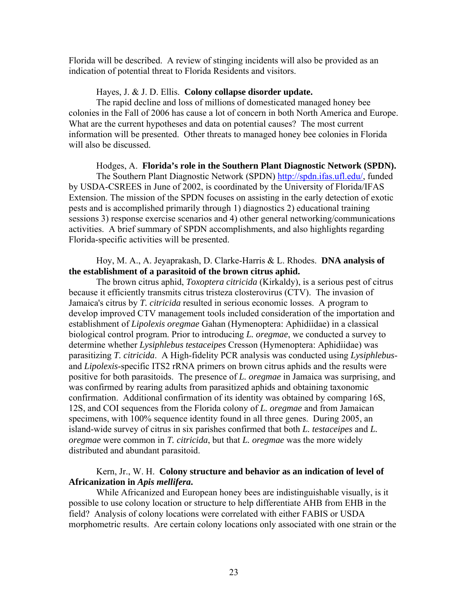Florida will be described. A review of stinging incidents will also be provided as an indication of potential threat to Florida Residents and visitors.

#### Hayes, J. & J. D. Ellis. **Colony collapse disorder update.**

 The rapid decline and loss of millions of domesticated managed honey bee colonies in the Fall of 2006 has cause a lot of concern in both North America and Europe. What are the current hypotheses and data on potential causes? The most current information will be presented. Other threats to managed honey bee colonies in Florida will also be discussed.

 Hodges, A. **Florida's role in the Southern Plant Diagnostic Network (SPDN).** The Southern Plant Diagnostic Network (SPDN) [http://spdn.ifas.ufl.edu/,](http://spdn.ifas.ufl.edu/) funded by USDA-CSREES in June of 2002, is coordinated by the University of Florida/IFAS Extension. The mission of the SPDN focuses on assisting in the early detection of exotic pests and is accomplished primarily through 1) diagnostics 2) educational training sessions 3) response exercise scenarios and 4) other general networking/communications activities. A brief summary of SPDN accomplishments, and also highlights regarding Florida-specific activities will be presented.

### Hoy, M. A., A. Jeyaprakash, D. Clarke-Harris & L. Rhodes. **DNA analysis of the establishment of a parasitoid of the brown citrus aphid.**

 The brown citrus aphid, *Toxoptera citricida* (Kirkaldy), is a serious pest of citrus because it efficiently transmits citrus tristeza closterovirus (CTV). The invasion of Jamaica's citrus by *T. citricida* resulted in serious economic losses. A program to develop improved CTV management tools included consideration of the importation and establishment of *Lipolexis oregmae* Gahan (Hymenoptera: Aphidiidae) in a classical biological control program. Prior to introducing *L. oregmae*, we conducted a survey to determine whether *Lysiphlebus testaceipes* Cresson (Hymenoptera: Aphidiidae) was parasitizing *T. citricida*. A High-fidelity PCR analysis was conducted using *Lysiphlebus*and *Lipolexis*-specific ITS2 rRNA primers on brown citrus aphids and the results were positive for both parasitoids. The presence of *L. oregmae* in Jamaica was surprising, and was confirmed by rearing adults from parasitized aphids and obtaining taxonomic confirmation. Additional confirmation of its identity was obtained by comparing 16S, 12S, and COI sequences from the Florida colony of *L. oregmae* and from Jamaican specimens, with 100% sequence identity found in all three genes. During 2005, an island-wide survey of citrus in six parishes confirmed that both *L. testaceipes* and *L. oregmae* were common in *T. citricida*, but that *L. oregmae* was the more widely distributed and abundant parasitoid.

## Kern, Jr., W. H. **Colony structure and behavior as an indication of level of Africanization in** *Apis mellifera***.**

 While Africanized and European honey bees are indistinguishable visually, is it possible to use colony location or structure to help differentiate AHB from EHB in the field? Analysis of colony locations were correlated with either FABIS or USDA morphometric results. Are certain colony locations only associated with one strain or the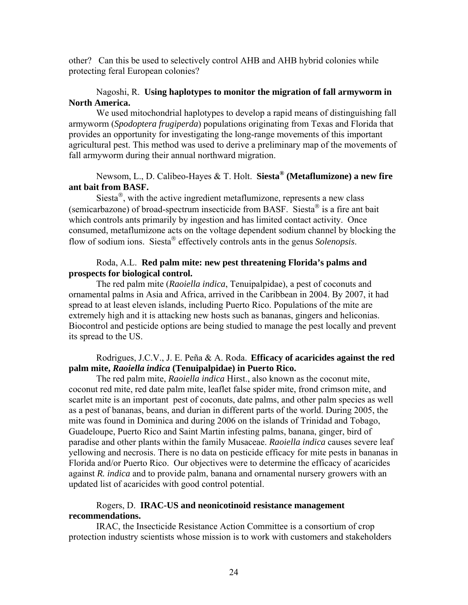other? Can this be used to selectively control AHB and AHB hybrid colonies while protecting feral European colonies?

### Nagoshi, R. **Using haplotypes to monitor the migration of fall armyworm in North America.**

 We used mitochondrial haplotypes to develop a rapid means of distinguishing fall armyworm (*Spodoptera frugiperda*) populations originating from Texas and Florida that provides an opportunity for investigating the long-range movements of this important agricultural pest. This method was used to derive a preliminary map of the movements of fall armyworm during their annual northward migration.

# Newsom, L., D. Calibeo-Hayes & T. Holt. **Siesta® (Metaflumizone) a new fire ant bait from BASF.**

 Siesta®, with the active ingredient metaflumizone, represents a new class (semicarbazone) of broad-spectrum insecticide from BASF. Siesta<sup>®</sup> is a fire ant bait which controls ants primarily by ingestion and has limited contact activity. Once consumed, metaflumizone acts on the voltage dependent sodium channel by blocking the flow of sodium ions. Siesta® effectively controls ants in the genus *Solenopsis*.

### Roda, A.L. **Red palm mite: new pest threatening Florida's palms and prospects for biological control.**

The red palm mite (*Raoiella indica*, Tenuipalpidae), a pest of coconuts and ornamental palms in Asia and Africa, arrived in the Caribbean in 2004. By 2007, it had spread to at least eleven islands, including Puerto Rico. Populations of the mite are extremely high and it is attacking new hosts such as bananas, gingers and heliconias. Biocontrol and pesticide options are being studied to manage the pest locally and prevent its spread to the US.

# Rodrigues, J.C.V., J. E. Peña & A. Roda. **Efficacy of acaricides against the red palm mite,** *Raoiella indica* **(Tenuipalpidae) in Puerto Rico.**

 The red palm mite, *Raoiella indica* Hirst., also known as the coconut mite, coconut red mite, red date palm mite, leaflet false spider mite, frond crimson mite, and scarlet mite is an important pest of coconuts, date palms, and other palm species as well as a pest of bananas, beans, and durian in different parts of the world. During 2005, the mite was found in Dominica and during 2006 on the islands of Trinidad and Tobago, Guadeloupe, Puerto Rico and Saint Martin infesting palms, banana, ginger, bird of paradise and other plants within the family Musaceae. *Raoiella indica* causes severe leaf yellowing and necrosis. There is no data on pesticide efficacy for mite pests in bananas in Florida and/or Puerto Rico. Our objectives were to determine the efficacy of acaricides against *R. indica* and to provide palm, banana and ornamental nursery growers with an updated list of acaricides with good control potential.

# Rogers, D. **IRAC-US and neonicotinoid resistance management recommendations.**

 IRAC, the Insecticide Resistance Action Committee is a consortium of crop protection industry scientists whose mission is to work with customers and stakeholders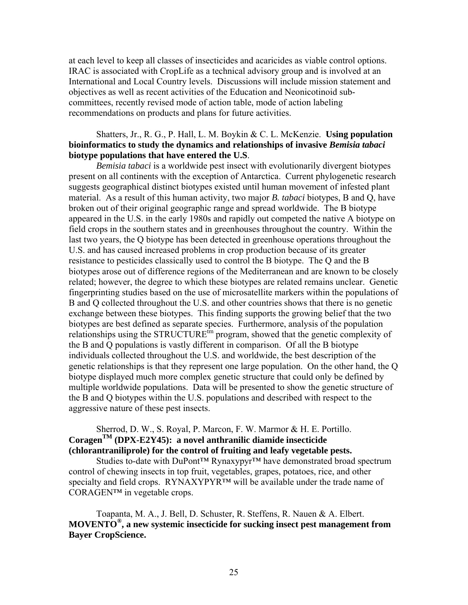at each level to keep all classes of insecticides and acaricides as viable control options. IRAC is associated with CropLife as a technical advisory group and is involved at an International and Local Country levels. Discussions will include mission statement and objectives as well as recent activities of the Education and Neonicotinoid subcommittees, recently revised mode of action table, mode of action labeling recommendations on products and plans for future activities.

### Shatters, Jr., R. G., P. Hall, L. M. Boykin & C. L. McKenzie. **Using population bioinformatics to study the dynamics and relationships of invasive** *Bemisia tabaci* **biotype populations that have entered the U.S**.

*Bemisia tabaci* is a worldwide pest insect with evolutionarily divergent biotypes present on all continents with the exception of Antarctica. Current phylogenetic research suggests geographical distinct biotypes existed until human movement of infested plant material. As a result of this human activity, two major *B. tabaci* biotypes, B and Q, have broken out of their original geographic range and spread worldwide. The B biotype appeared in the U.S. in the early 1980s and rapidly out competed the native A biotype on field crops in the southern states and in greenhouses throughout the country. Within the last two years, the Q biotype has been detected in greenhouse operations throughout the U.S. and has caused increased problems in crop production because of its greater resistance to pesticides classically used to control the B biotype. The Q and the B biotypes arose out of difference regions of the Mediterranean and are known to be closely related; however, the degree to which these biotypes are related remains unclear. Genetic fingerprinting studies based on the use of microsatellite markers within the populations of B and Q collected throughout the U.S. and other countries shows that there is no genetic exchange between these biotypes. This finding supports the growing belief that the two biotypes are best defined as separate species. Furthermore, analysis of the population relationships using the STRUCTURE<sup>tin</sup> program, showed that the genetic complexity of the B and Q populations is vastly different in comparison. Of all the B biotype individuals collected throughout the U.S. and worldwide, the best description of the genetic relationships is that they represent one large population. On the other hand, the Q biotype displayed much more complex genetic structure that could only be defined by multiple worldwide populations. Data will be presented to show the genetic structure of the B and Q biotypes within the U.S. populations and described with respect to the aggressive nature of these pest insects.

# Sherrod, D. W., S. Royal, P. Marcon, F. W. Marmor & H. E. Portillo. **CoragenTM (DPX-E2Y45): a novel anthranilic diamide insecticide (chlorantraniliprole) for the control of fruiting and leafy vegetable pests.**

 Studies to-date with DuPont™ Rynaxypyr™ have demonstrated broad spectrum control of chewing insects in top fruit, vegetables, grapes, potatoes, rice, and other specialty and field crops. RYNAXYPYR™ will be available under the trade name of CORAGEN™ in vegetable crops.

 Toapanta, M. A., J. Bell, D. Schuster, R. Steffens, R. Nauen & A. Elbert. **MOVENTO®, a new systemic insecticide for sucking insect pest management from Bayer CropScience.**